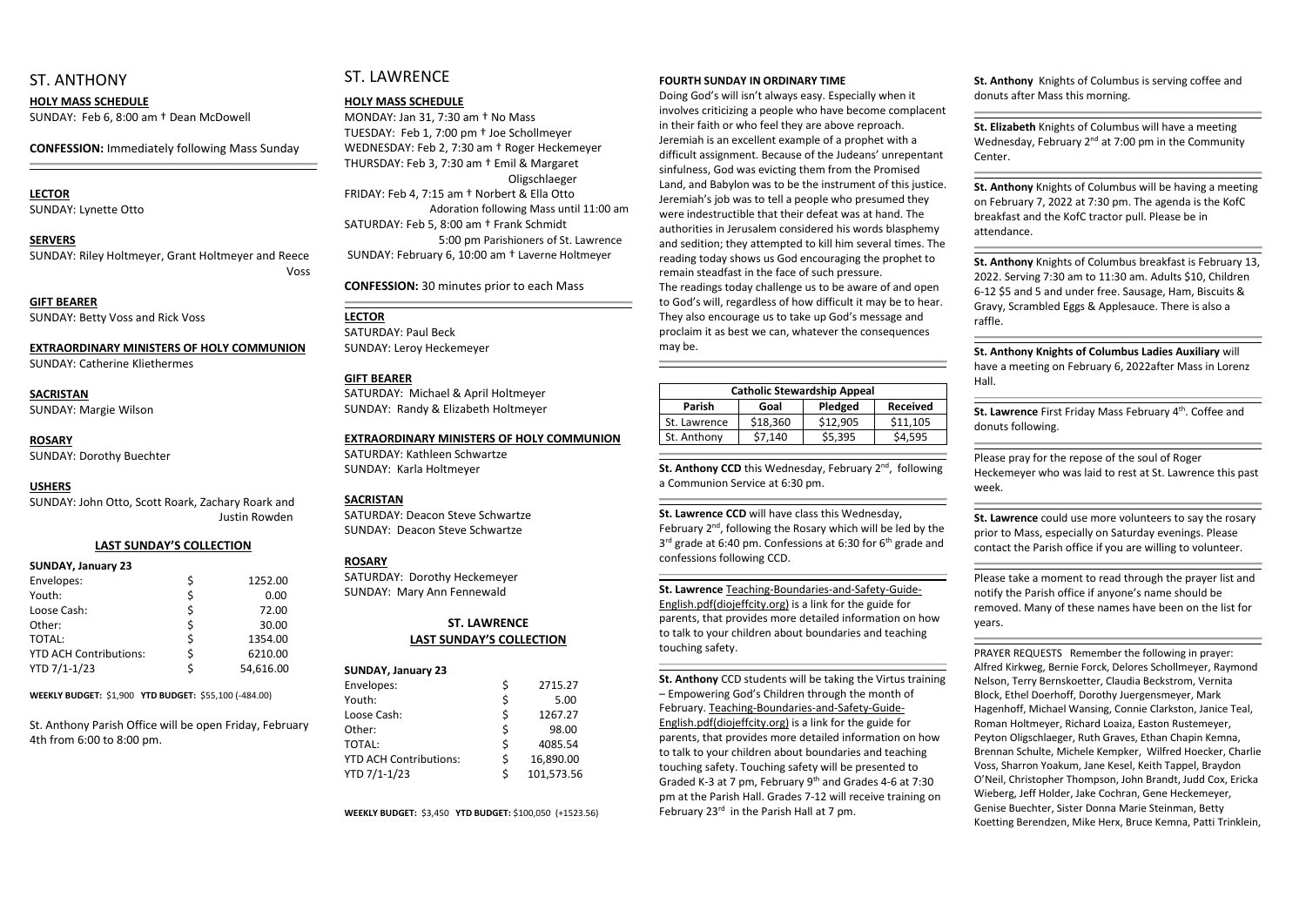## ST. ANTHONY

#### **HOLY MASS SCHEDULE**

SUNDAY: Feb 6, 8:00 am † Dean McDowell

**CONFESSION:** Immediately following Mass Sunday

#### **LECTOR**

SUNDAY: Lynette Otto

#### **SERVERS**

SUNDAY: Riley Holtmeyer, Grant Holtmeyer and Reece Voss

**GIFT BEARER** SUNDAY: Betty Voss and Rick Voss

#### **EXTRAORDINARY MINISTERS OF HOLY COMMUNION**

SUNDAY: Catherine Kliethermes

## **SACRISTAN**

SUNDAY: Margie Wilson

#### **ROSARY**

SUNDAY: Dorothy Buechter

#### **USHERS**

SUNDAY: John Otto, Scott Roark, Zachary Roark and Justin Rowden

#### **LAST SUNDAY'S COLLECTION**

| <b>SUNDAY, January 23</b>     |                 |
|-------------------------------|-----------------|
| Envelopes:                    | \$<br>1252.00   |
| Youth:                        | \$<br>0.00      |
| Loose Cash:                   | \$<br>72.00     |
| Other:                        | \$<br>30.00     |
| <b>TOTAL:</b>                 | \$<br>1354.00   |
| <b>YTD ACH Contributions:</b> | \$<br>6210.00   |
| YTD 7/1-1/23                  | \$<br>54,616.00 |

**WEEKLY BUDGET:** \$1,900 **YTD BUDGET:** \$55,100 (-484.00)

St. Anthony Parish Office will be open Friday, February 4th from 6:00 to 8:00 pm.

## ST. LAWRENCE

#### **HOLY MASS SCHEDULE**

MONDAY: Jan 31, 7:30 am † No Mass TUESDAY: Feb 1, 7:00 pm † Joe Schollmeyer WEDNESDAY: Feb 2, 7:30 am † Roger Heckemeyer THURSDAY: Feb 3, 7:30 am † Emil & Margaret Oligschlaeger FRIDAY: Feb 4, 7:15 am † Norbert & Ella Otto Adoration following Mass until 11:00 am SATURDAY: Feb 5, 8:00 am † Frank Schmidt 5:00 pm Parishioners of St. Lawrence SUNDAY: February 6, 10:00 am † Laverne Holtmeyer

**CONFESSION:** 30 minutes prior to each Mass

#### **LECTOR**

SATURDAY: Paul Beck SUNDAY: Leroy Heckemeyer

#### **GIFT BEARER**

SATURDAY: Michael & April Holtmeyer SUNDAY: Randy & Elizabeth Holtmeyer

#### **EXTRAORDINARY MINISTERS OF HOLY COMMUNION**

SATURDAY: Kathleen Schwartze SUNDAY: Karla Holtmeyer

#### **SACRISTAN**

SATURDAY: Deacon Steve Schwartze SUNDAY: Deacon Steve Schwartze

St. Anthony CCD this Wednesday, February 2<sup>nd</sup>, following a Communion Service at 6:30 pm.

#### **ROSARY**

SATURDAY: Dorothy Heckemeyer SUNDAY: Mary Ann Fennewald

February 2<sup>nd</sup>, following the Rosary which will be led by the 3<sup>rd</sup> grade at 6:40 pm. Confessions at 6:30 for 6<sup>th</sup> grade and confessions following CCD.

#### **ST. LAWRENCE LAST SUNDAY'S COLLECTION**

#### **SUNDAY, January 23**

**St. Anthony** CCD students will be taking the Virtus training – Empowering God's Children through the month of February. Teaching-Boundaries-and-Safety-Guide-English.pdf(diojeffcity.org) is a link for the guide for parents, that provides more detailed information on how to talk to your children about boundaries and teaching touching safety. Touching safety will be presented to Graded K-3 at 7 pm, February 9<sup>th</sup> and Grades 4-6 at 7:30 pm at the Parish Hall. Grades 7-12 will receive training on February 23<sup>rd</sup> in the Parish Hall at 7 pm.

| Envelopes:                    | \$ | 2715.27    |
|-------------------------------|----|------------|
| Youth:                        | \$ | 5.00       |
| Loose Cash:                   | \$ | 1267.27    |
| Other:                        | \$ | 98.00      |
| TOTAL:                        | \$ | 4085.54    |
| <b>YTD ACH Contributions:</b> | \$ | 16,890.00  |
| YTD 7/1-1/23                  | Ś  | 101,573.56 |

**WEEKLY BUDGET:** \$3,450 **YTD BUDGET:** \$100,050 (+1523.56)

#### **FOURTH SUNDAY IN ORDINARY TIME**

Doing God's will isn't always easy. Especially when it involves criticizing a people who have become complacent in their faith or who feel they are above reproach. Jeremiah is an excellent example of a prophet with a difficult assignment. Because of the Judeans' unrepentant sinfulness, God was evicting them from the Promised Land, and Babylon was to be the instrument of this justice. Jeremiah's job was to tell a people who presumed they were indestructible that their defeat was at hand. The authorities in Jerusalem considered his words blasphemy and sedition; they attempted to kill him several times. The reading today shows us God encouraging the prophet to remain steadfast in the face of such pressure. The readings today challenge us to be aware of and open to God's will, regardless of how difficult it may be to hear. They also encourage us to take up God's message and proclaim it as best we can, whatever the consequences may be.

> St. Lawrence First Friday Mass February 4<sup>th</sup>. Coffee and donuts following.

| <b>Catholic Stewardship Appeal</b> |          |          |                 |  |
|------------------------------------|----------|----------|-----------------|--|
| <b>Parish</b>                      | Goal     | Pledged  | <b>Received</b> |  |
| St. Lawrence                       | \$18,360 | \$12,905 | \$11,105        |  |
| St. Anthony                        | \$7,140  | \$5,395  | \$4,595         |  |
|                                    |          |          |                 |  |

#### **St. Lawrence CCD** will have class this Wednesday,

## **St. Lawrence** Teaching-Boundaries-and-Safety-Guide-

English.pdf(diojeffcity.org) is a link for the guide for parents, that provides more detailed information on how to talk to your children about boundaries and teaching touching safety.

**St. Anthony** Knights of Columbus is serving coffee and donuts after Mass this morning.

**St. Elizabeth** Knights of Columbus will have a meeting Wednesday, February  $2^{nd}$  at 7:00 pm in the Community Center.

**St. Anthony** Knights of Columbus will be having a meeting on February 7, 2022 at 7:30 pm. The agenda is the KofC breakfast and the KofC tractor pull. Please be in attendance.

**St. Anthony** Knights of Columbus breakfast is February 13, 2022. Serving 7:30 am to 11:30 am. Adults \$10, Children 6-12 \$5 and 5 and under free. Sausage, Ham, Biscuits & Gravy, Scrambled Eggs & Applesauce. There is also a raffle.

**St. Anthony Knights of Columbus Ladies Auxiliary** will have a meeting on February 6, 2022after Mass in Lorenz

Please pray for the repose of the soul of Roger Heckemeyer who was laid to rest at St. Lawrence this past week.

**St. Lawrence** could use more volunteers to say the rosary prior to Mass, especially on Saturday evenings. Please contact the Parish office if you are willing to volunteer.

Please take a moment to read through the prayer list and notify the Parish office if anyone's name should be removed. Many of these names have been on the list for years.

PRAYER REQUESTS Remember the following in prayer: Alfred Kirkweg, Bernie Forck, Delores Schollmeyer, Raymond Nelson, Terry Bernskoetter, Claudia Beckstrom, Vernita Block, Ethel Doerhoff, Dorothy Juergensmeyer, Mark Hagenhoff, Michael Wansing, Connie Clarkston, Janice Teal, Roman Holtmeyer, Richard Loaiza, Easton Rustemeyer, Peyton Oligschlaeger, Ruth Graves, Ethan Chapin Kemna, Brennan Schulte, Michele Kempker, Wilfred Hoecker, Charlie Voss, Sharron Yoakum, Jane Kesel, Keith Tappel, Braydon O'Neil, Christopher Thompson, John Brandt, Judd Cox, Ericka Wieberg, Jeff Holder, Jake Cochran, Gene Heckemeyer, Genise Buechter, Sister Donna Marie Steinman, Betty Koetting Berendzen, Mike Herx, Bruce Kemna, Patti Trinklein,